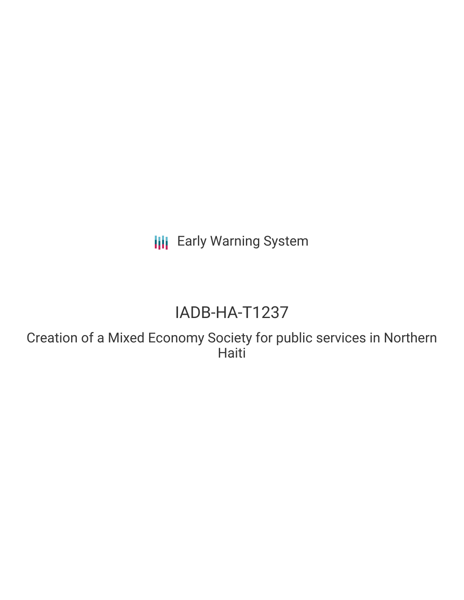**III** Early Warning System

# IADB-HA-T1237

Creation of a Mixed Economy Society for public services in Northern Haiti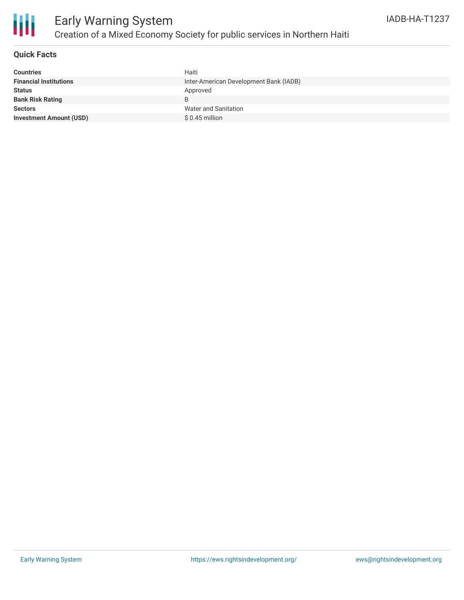

## Early Warning System Creation of a Mixed Economy Society for public services in Northern Haiti

### **Quick Facts**

| <b>Countries</b>               | Haiti                                  |
|--------------------------------|----------------------------------------|
| <b>Financial Institutions</b>  | Inter-American Development Bank (IADB) |
| <b>Status</b>                  | Approved                               |
| <b>Bank Risk Rating</b>        |                                        |
| <b>Sectors</b>                 | Water and Sanitation                   |
| <b>Investment Amount (USD)</b> | $$0.45$ million                        |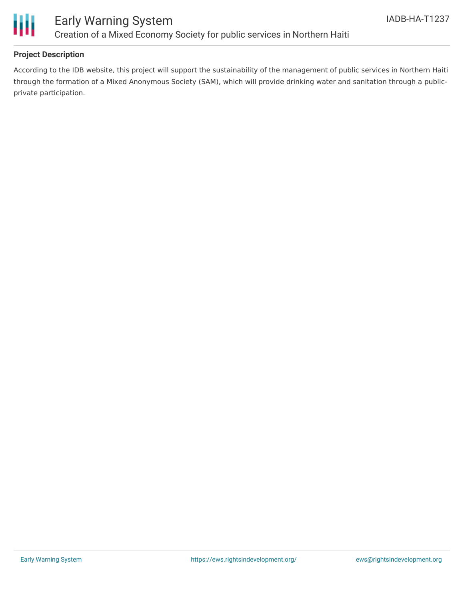

### **Project Description**

According to the IDB website, this project will support the sustainability of the management of public services in Northern Haiti through the formation of a Mixed Anonymous Society (SAM), which will provide drinking water and sanitation through a publicprivate participation.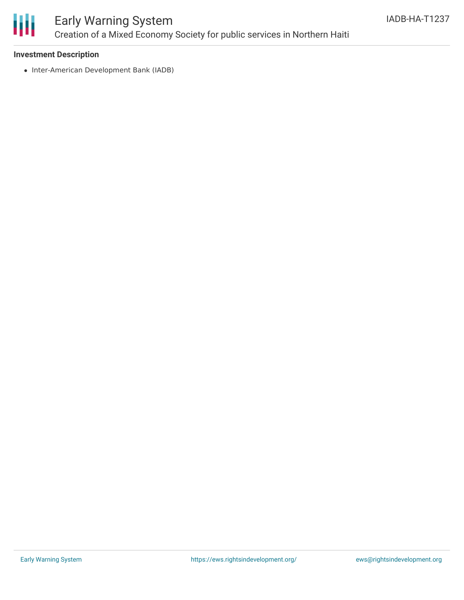

## Early Warning System Creation of a Mixed Economy Society for public services in Northern Haiti

### **Investment Description**

• Inter-American Development Bank (IADB)